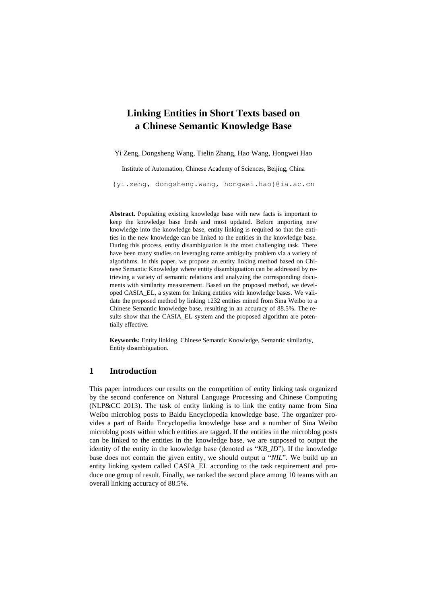# **Linking Entities in Short Texts based on a Chinese Semantic Knowledge Base**

Yi Zeng, Dongsheng Wang, Tielin Zhang, Hao Wang, Hongwei Hao

Institute of Automation, Chinese Academy of Sciences, Beijing, China

{yi.zeng, dongsheng.wang, hongwei.hao}@ia.ac.cn

**Abstract.** Populating existing knowledge base with new facts is important to keep the knowledge base fresh and most updated. Before importing new knowledge into the knowledge base, entity linking is required so that the entities in the new knowledge can be linked to the entities in the knowledge base. During this process, entity disambiguation is the most challenging task. There have been many studies on leveraging name ambiguity problem via a variety of algorithms. In this paper, we propose an entity linking method based on Chinese Semantic Knowledge where entity disambiguation can be addressed by retrieving a variety of semantic relations and analyzing the corresponding documents with similarity measurement. Based on the proposed method, we developed CASIA\_EL, a system for linking entities with knowledge bases. We validate the proposed method by linking 1232 entities mined from Sina Weibo to a Chinese Semantic knowledge base, resulting in an accuracy of 88.5%. The results show that the CASIA\_EL system and the proposed algorithm are potentially effective.

**Keywords:** Entity linking, Chinese Semantic Knowledge, Semantic similarity, Entity disambiguation.

# **1 Introduction**

This paper introduces our results on the competition of entity linking task organized by the second conference on Natural Language Processing and Chinese Computing (NLP&CC 2013). The task of entity linking is to link the entity name from Sina Weibo microblog posts to Baidu Encyclopedia knowledge base. The organizer provides a part of Baidu Encyclopedia knowledge base and a number of Sina Weibo microblog posts within which entities are tagged. If the entities in the microblog posts can be linked to the entities in the knowledge base, we are supposed to output the identity of the entity in the knowledge base (denoted as "*KB\_ID*"). If the knowledge base does not contain the given entity, we should output a "*NIL*". We build up an entity linking system called CASIA\_EL according to the task requirement and produce one group of result. Finally, we ranked the second place among 10 teams with an overall linking accuracy of 88.5%.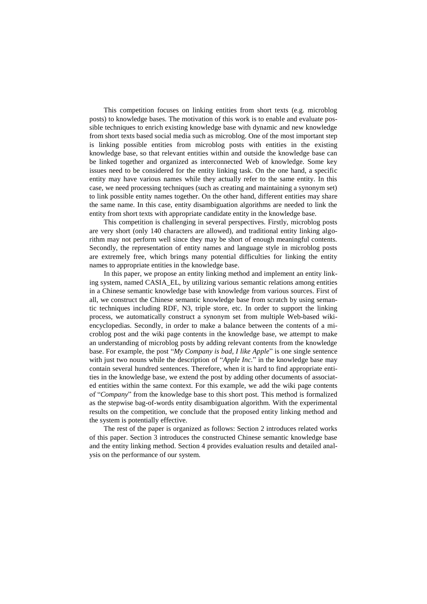This competition focuses on linking entities from short texts (e.g. microblog posts) to knowledge bases. The motivation of this work is to enable and evaluate possible techniques to enrich existing knowledge base with dynamic and new knowledge from short texts based social media such as microblog. One of the most important step is linking possible entities from microblog posts with entities in the existing knowledge base, so that relevant entities within and outside the knowledge base can be linked together and organized as interconnected Web of knowledge. Some key issues need to be considered for the entity linking task. On the one hand, a specific entity may have various names while they actually refer to the same entity. In this case, we need processing techniques (such as creating and maintaining a synonym set) to link possible entity names together. On the other hand, different entities may share the same name. In this case, entity disambiguation algorithms are needed to link the entity from short texts with appropriate candidate entity in the knowledge base.

This competition is challenging in several perspectives. Firstly, microblog posts are very short (only 140 characters are allowed), and traditional entity linking algorithm may not perform well since they may be short of enough meaningful contents. Secondly, the representation of entity names and language style in microblog posts are extremely free, which brings many potential difficulties for linking the entity names to appropriate entities in the knowledge base.

In this paper, we propose an entity linking method and implement an entity linking system, named CASIA\_EL, by utilizing various semantic relations among entities in a Chinese semantic knowledge base with knowledge from various sources. First of all, we construct the Chinese semantic knowledge base from scratch by using semantic techniques including RDF, N3, triple store, etc. In order to support the linking process, we automatically construct a synonym set from multiple Web-based wikiencyclopedias. Secondly, in order to make a balance between the contents of a microblog post and the wiki page contents in the knowledge base, we attempt to make an understanding of microblog posts by adding relevant contents from the knowledge base. For example, the post "*My Company is bad, I like Apple*" is one single sentence with just two nouns while the description of "*Apple Inc.*" in the knowledge base may contain several hundred sentences. Therefore, when it is hard to find appropriate entities in the knowledge base, we extend the post by adding other documents of associated entities within the same context. For this example, we add the wiki page contents of "*Company*" from the knowledge base to this short post. This method is formalized as the stepwise bag-of-words entity disambiguation algorithm. With the experimental results on the competition, we conclude that the proposed entity linking method and the system is potentially effective.

The rest of the paper is organized as follows: Section 2 introduces related works of this paper. Section 3 introduces the constructed Chinese semantic knowledge base and the entity linking method. Section 4 provides evaluation results and detailed analysis on the performance of our system.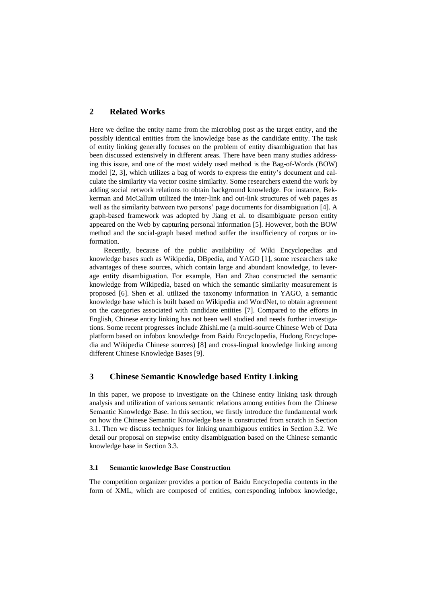# **2 Related Works**

Here we define the entity name from the microblog post as the target entity, and the possibly identical entities from the knowledge base as the candidate entity. The task of entity linking generally focuses on the problem of entity disambiguation that has been discussed extensively in different areas. There have been many studies addressing this issue, and one of the most widely used method is the Bag-of-Words (BOW) model [\[2,](#page-10-0) [3\]](#page-10-1), which utilizes a bag of words to express the entity's document and calculate the similarity via vector cosine similarity. Some researchers extend the work by adding social network relations to obtain background knowledge. For instance, Bekkerman and McCallum utilized the inter-link and out-link structures of web pages as well as the similarity between two persons' page documents for disambiguation [\[4\]](#page-10-2). A graph-based framework was adopted by Jiang et al. to disambiguate person entity appeared on the Web by capturing personal information [\[5\]](#page-10-3). However, both the BOW method and the social-graph based method suffer the insufficiency of corpus or information.

Recently, because of the public availability of Wiki Encyclopedias and knowledge bases such as Wikipedia, DBpedia, and YAGO [\[1\]](#page-10-4), some researchers take advantages of these sources, which contain large and abundant knowledge, to leverage entity disambiguation. For example, Han and Zhao constructed the semantic knowledge from Wikipedia, based on which the semantic similarity measurement is proposed [\[6\]](#page-10-5). Shen et al. utilized the taxonomy information in YAGO, a semantic knowledge base which is built based on Wikipedia and WordNet, to obtain agreement on the categories associated with candidate entities [\[7\]](#page-10-6). Compared to the efforts in English, Chinese entity linking has not been well studied and needs further investigations. Some recent progresses include Zhishi.me (a multi-source Chinese Web of Data platform based on infobox knowledge from Baidu Encyclopedia, Hudong Encyclopedia and Wikipedia Chinese sources) [\[8\]](#page-10-7) and cross-lingual knowledge linking among different Chinese Knowledge Bases [9].

# **3 Chinese Semantic Knowledge based Entity Linking**

In this paper, we propose to investigate on the Chinese entity linking task through analysis and utilization of various semantic relations among entities from the Chinese Semantic Knowledge Base. In this section, we firstly introduce the fundamental work on how the Chinese Semantic Knowledge base is constructed from scratch in Section 3.1. Then we discuss techniques for linking unambiguous entities in Section 3.2. We detail our proposal on stepwise entity disambiguation based on the Chinese semantic knowledge base in Section 3.3.

## **3.1 Semantic knowledge Base Construction**

The competition organizer provides a portion of Baidu Encyclopedia contents in the form of XML, which are composed of entities, corresponding infobox knowledge,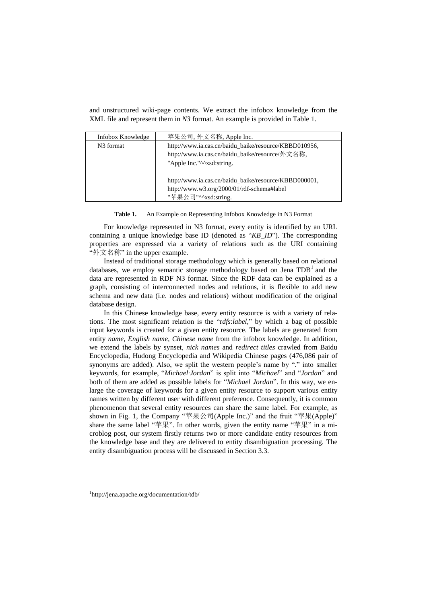and unstructured wiki-page contents. We extract the infobox knowledge from the XML file and represent them in *N3* format. An example is provided in Table 1.

| Infobox Knowledge     | 苹果公司, 外文名称, Apple Inc.                                |  |  |  |  |
|-----------------------|-------------------------------------------------------|--|--|--|--|
| N <sub>3</sub> format | http://www.ia.cas.cn/baidu_baike/resource/KBBD010956, |  |  |  |  |
|                       | http://www.ia.cas.cn/baidu_baike/resource/外文名称,       |  |  |  |  |
|                       | "Apple Inc."^^xsd:string.                             |  |  |  |  |
|                       |                                                       |  |  |  |  |
|                       | http://www.ia.cas.cn/baidu_baike/resource/KBBD000001, |  |  |  |  |
|                       | http://www.w3.org/2000/01/rdf-schema#label            |  |  |  |  |
|                       | "苹果公司"^^xsd:string.                                   |  |  |  |  |

**Table 1.** An Example on Representing Infobox Knowledge in N3 Format

For knowledge represented in N3 format, every entity is identified by an URL containing a unique knowledge base ID (denoted as "*KB\_ID*"). The corresponding properties are expressed via a variety of relations such as the URI containing "外文名称" in the upper example.

Instead of traditional storage methodology which is generally based on relational databases, we employ semantic storage methodology based on Jena  $TDB<sup>1</sup>$  and the data are represented in RDF N3 format. Since the RDF data can be explained as a graph, consisting of interconnected nodes and relations, it is flexible to add new schema and new data (i.e. nodes and relations) without modification of the original database design.

In this Chinese knowledge base, every entity resource is with a variety of relations. The most significant relation is the "r*dfs*:*label*," by which a bag of possible input keywords is created for a given entity resource. The labels are generated from entity *name*, *English name*, *Chinese name* from the infobox knowledge. In addition, we extend the labels by synset, *nick names* and *redirect titles* crawled from Baidu Encyclopedia, Hudong Encyclopedia and Wikipedia Chinese pages (476,086 pair of synonyms are added). Also, we split the western people's name by "." into smaller keywords, for example, "*Michael·Jordan*" is split into "*Michael*" and "*Jordan*" and both of them are added as possible labels for "*Michael Jordan*". In this way, we enlarge the coverage of keywords for a given entity resource to support various entity names written by different user with different preference. Consequently, it is common phenomenon that several entity resources can share the same label. For example, as shown in Fig. 1, the Company "苹果公司(Apple Inc.)" and the fruit "苹果(Apple)" share the same label "苹果". In other words, given the entity name "苹果" in a microblog post, our system firstly returns two or more candidate entity resources from the knowledge base and they are delivered to entity disambiguation processing. The entity disambiguation process will be discussed in Section 3.3.

 $\overline{\phantom{a}}$ 

<sup>1</sup> <http://jena.apache.org/documentation/tdb/>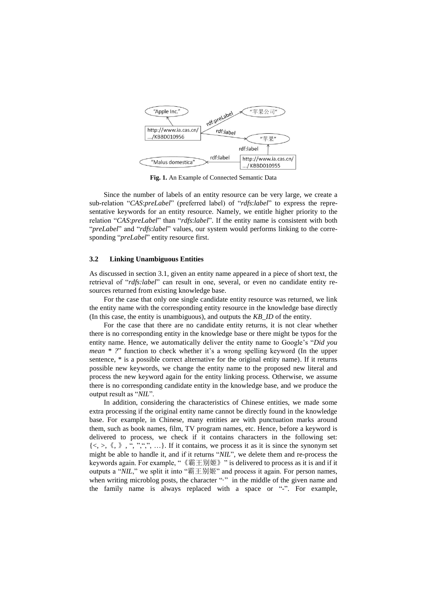

**Fig. 1.** An Example of Connected Semantic Data

Since the number of labels of an entity resource can be very large, we create a sub-relation "*CAS*:*preLabel*" (preferred label) of "*rdfs*:*label*" to express the representative keywords for an entity resource. Namely, we entitle higher priority to the relation "*CAS*:*preLabel*" than "*rdfs*:*label*". If the entity name is consistent with both "*preLabel*" and "*rdfs*:*label*" values, our system would performs linking to the corresponding "*preLabel*" entity resource first.

#### **3.2 Linking Unambiguous Entities**

As discussed in section 3.1, given an entity name appeared in a piece of short text, the retrieval of "*rdfs:label*" can result in one, several, or even no candidate entity resources returned from existing knowledge base.

For the case that only one single candidate entity resource was returned, we link the entity name with the corresponding entity resource in the knowledge base directly (In this case, the entity is unambiguous), and outputs the *KB\_ID* of the entity.

For the case that there are no candidate entity returns, it is not clear whether there is no corresponding entity in the knowledge base or there might be typos for the entity name. Hence, we automatically deliver the entity name to Google's "*Did you mean \* ?*" function to check whether it's a wrong spelling keyword (In the upper sentence, \* is a possible correct alternative for the original entity name). If it returns possible new keywords, we change the entity name to the proposed new literal and process the new keyword again for the entity linking process. Otherwise, we assume there is no corresponding candidate entity in the knowledge base, and we produce the output result as "*NIL*".

In addition, considering the characteristics of Chinese entities, we made some extra processing if the original entity name cannot be directly found in the knowledge base. For example, in Chinese, many entities are with punctuation marks around them, such as book names, film, TV program names, etc. Hence, before a keyword is delivered to process, we check if it contains characters in the following set:  $\{\langle \rangle, \rangle, \langle \langle \rangle, \rangle, \langle \langle \rangle, \langle \rangle, \langle \rangle\}$ . If it contains, we process it as it is since the synonym set might be able to handle it, and if it returns "*NIL*", we delete them and re-process the keywords again. For example, "《霸王别姬》" is delivered to process as it is and if it outputs a "*NIL*," we split it into "霸王别姬" and process it again. For person names, when writing microblog posts, the character "<sup>\*</sup>" in the middle of the given name and the family name is always replaced with a space or "-". For example,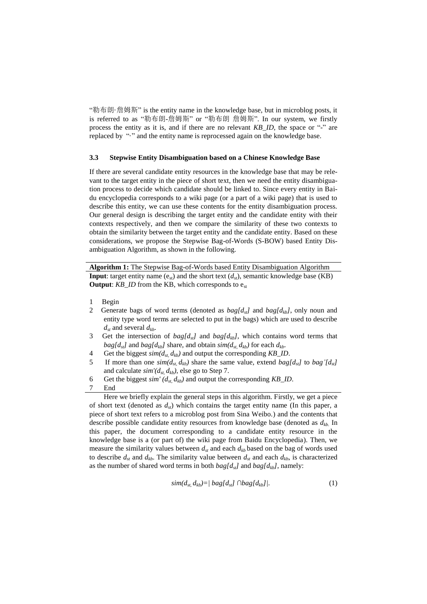"勒布朗·詹姆斯" is the entity name in the knowledge base, but in microblog posts, it is referred to as "勒布朗-詹姆斯" or "勒布朗 詹姆斯". In our system, we firstly process the entity as it is, and if there are no relevant *KB\_ID*, the space or "-" are replaced by "' and the entity name is reprocessed again on the knowledge base.

#### **3.3 Stepwise Entity Disambiguation based on a Chinese Knowledge Base**

If there are several candidate entity resources in the knowledge base that may be relevant to the target entity in the piece of short text, then we need the entity disambiguation process to decide which candidate should be linked to. Since every entity in Baidu encyclopedia corresponds to a wiki page (or a part of a wiki page) that is used to describe this entity, we can use these contents for the entity disambiguation process. Our general design is describing the target entity and the candidate entity with their contexts respectively, and then we compare the similarity of these two contexts to obtain the similarity between the target entity and the candidate entity. Based on these considerations, we propose the Stepwise Bag-of-Words (S-BOW) based Entity Disambiguation Algorithm, as shown in the following.

**Algorithm 1:** The Stepwise Bag-of-Words based Entity Disambiguation Algorithm **Input**: target entity name ( $e_{st}$ ) and the short text ( $d_{st}$ ), semantic knowledge base (KB) **Output:**  $KB$ \_*ID* from the KB, which corresponds to  $e_{st}$ 

- 1 Begin
- 2 Generate bags of word terms (denoted as  $bag[d_{sd}]$  and  $bag[d_{kb}]$ , only noun and entity type word terms are selected to put in the bags) which are used to describe  $d_{st}$  and several  $d_{kb}$ .
- 3 Get the intersection of *bag[dst]* and *bag[dkb]*, which contains word terms that  $bag[d_{st}]$  and  $bag[d_{kb}]$  share, and obtain  $sim(d_{st}, d_{kb})$  for each  $d_{kb}$ .
- 4 Get the biggest *sim(dst, dkb)* and output the corresponding *KB\_ID*.
- 5 If more than one  $\sin(d_{st}, d_{kb})$  share the same value, extend  $\log[d_{st}]$  to  $\log' [d_{st}]$ and calculate  $\sin'(d_{\text{st}} d_{\text{kb}})$ , else go to Step 7.
- 6 Get the biggest  $\sin^{-1}(d_{st}, d_{kb})$  and output the corresponding  $KB\_ID$ .
- 7 End

Here we briefly explain the general steps in this algorithm. Firstly, we get a piece of short text (denoted as  $d_{\rm v}$ ) which contains the target entity name (In this paper, a piece of short text refers to a microblog post from Sina Weibo.) and the contents that describe possible candidate entity resources from knowledge base (denoted as *dkb*. In this paper, the document corresponding to a candidate entity resource in the knowledge base is a (or part of) the wiki page from Baidu Encyclopedia). Then, we measure the similarity values between  $d_{st}$  and each  $d_{th}$  based on the bag of words used to describe  $d_{st}$  and  $d_{kb}$ . The similarity value between  $d_{st}$  and each  $d_{kb}$ , is characterized as the number of shared word terms in both  $bag[d_{sl}]$  and  $bag[d_{kb}]$ , namely:

$$
sim(d_{st, d_{kb}}) = |bag[d_{st}] \cap bag[d_{kb}]. \tag{1}
$$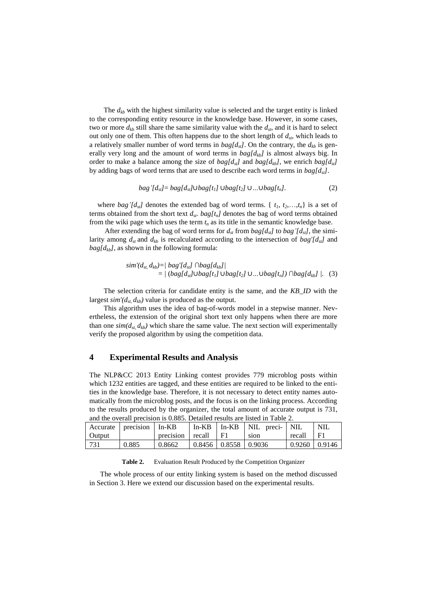The  $d_{kb}$  with the highest similarity value is selected and the target entity is linked to the corresponding entity resource in the knowledge base. However, in some cases, two or more  $d_{kb}$  still share the same similarity value with the  $d_{st}$ , and it is hard to select out only one of them. This often happens due to the short length of *dst*, which leads to a relatively smaller number of word terms in  $bag[d_{st}]$ . On the contrary, the  $d_{kb}$  is generally very long and the amount of word terms in  $bag[d_{kb}]$  is almost always big. In order to make a balance among the size of  $bag[d_{sd}]$  and  $bag[d_{kb}]$ , we enrich  $bag[d_{sd}]$ by adding bags of word terms that are used to describe each word terms in *bag[dst]*.

$$
bag'[d_{st}] = bag[d_{st}] \cup bag[t_1] \cup bag[t_2] \cup ... \cup bag[t_n]. \tag{2}
$$

where *bag'*[ $d_{s1}$ ] denotes the extended bag of word terms. {  $t_1, t_2,...,t_n$ } is a set of terms obtained from the short text  $d_{st}$ .  $bag[t_n]$  denotes the bag of word terms obtained from the wiki page which uses the term  $t_n$  as its title in the semantic knowledge base.

After extending the bag of word terms for  $d_{st}$  from  $bag[d_{st}]$  to  $bag' [d_{st}]$ , the similarity among  $d_{st}$  and  $d_{kb}$  is recalculated according to the intersection of  $bag'd_{st}$  and  $bag[d_{kb}]$ , as shown in the following formula:

$$
sim'(d_{st}, d_{kb}) = | bag'[d_{st}] \cap bag[d_{kb}]|
$$
  
= | (bag[d\_{st}] \cup bag[t\_1] \cup bag[t\_2] \cup ... \cup bag[t\_n]) \cap bag[d\_{kb}] |. (3)

The selection criteria for candidate entity is the same, and the *KB\_ID* with the largest  $\sin'(d_{st}, d_{kb})$  value is produced as the output.

This algorithm uses the idea of bag-of-words model in a stepwise manner. Nevertheless, the extension of the original short text only happens when there are more than one  $\sin(d_{st} d_{kb})$  which share the same value. The next section will experimentally verify the proposed algorithm by using the competition data.

# **4 Experimental Results and Analysis**

The NLP&CC 2013 Entity Linking contest provides 779 microblog posts within which 1232 entities are tagged, and these entities are required to be linked to the entities in the knowledge base. Therefore, it is not necessary to detect entity names automatically from the microblog posts, and the focus is on the linking process. According to the results produced by the organizer, the total amount of accurate output is 731, and the overall precision is 0.885. Detailed results are listed in Table 2.

| Accurate recision |       | $\mathsf{In-KB}$            | $In-KB$ | $In-KB$                    | NIL preci-   NIL |                 | NIL  |
|-------------------|-------|-----------------------------|---------|----------------------------|------------------|-----------------|------|
| Output            |       | precision $ $ recall $ $ F1 |         |                            | s10n             | recall          | l F1 |
| 731               | 0.885 | 0.8662                      |         | $0.8456$   0.8558   0.9036 |                  | $0.9260$ 0.9146 |      |

| Table 2. |  |  |  |  | Evaluation Result Produced by the Competition Organizer |  |
|----------|--|--|--|--|---------------------------------------------------------|--|
|----------|--|--|--|--|---------------------------------------------------------|--|

The whole process of our entity linking system is based on the method discussed in Section 3. Here we extend our discussion based on the experimental results.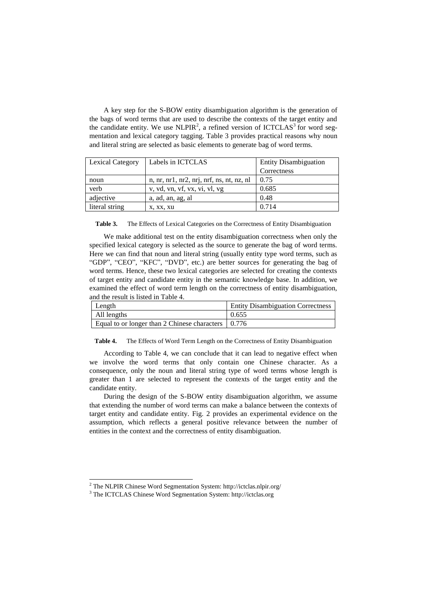A key step for the S-BOW entity disambiguation algorithm is the generation of the bags of word terms that are used to describe the contexts of the target entity and the candidate entity. We use NLPIR<sup>2</sup>, a refined version of ICTCLAS<sup>3</sup> for word segmentation and lexical category tagging. Table 3 provides practical reasons why noun and literal string are selected as basic elements to generate bag of word terms.

| <b>Lexical Category</b> | Labels in ICTCLAS                           | <b>Entity Disambiguation</b> |
|-------------------------|---------------------------------------------|------------------------------|
|                         |                                             | Correctness                  |
| noun                    | $n, nr, nr1, nr2, nri, nrf, ns, nt, nz, nl$ | 0.75                         |
| verb                    | v, vd, vn, vf, vx, vi, vl, vg               | 0.685                        |
| adjective               | a, ad, an, ag, al                           | 0.48                         |
| literal string          | x, xx, xu                                   | 0.714                        |

**Table 3.** The Effects of Lexical Categories on the Correctness of Entity Disambiguation

We make additional test on the entity disambiguation correctness when only the specified lexical category is selected as the source to generate the bag of word terms. Here we can find that noun and literal string (usually entity type word terms, such as "GDP", "CEO", "KFC", "DVD", etc.) are better sources for generating the bag of word terms. Hence, these two lexical categories are selected for creating the contexts of target entity and candidate entity in the semantic knowledge base. In addition, we examined the effect of word term length on the correctness of entity disambiguation, and the result is listed in Table 4.

| Length                                             | <b>Entity Disambiguation Correctness</b> |
|----------------------------------------------------|------------------------------------------|
| All lengths                                        | 0.655                                    |
| Equal to or longer than 2 Chinese characters 0.776 |                                          |

**Table 4.** The Effects of Word Term Length on the Correctness of Entity Disambiguation

According to Table 4, we can conclude that it can lead to negative effect when we involve the word terms that only contain one Chinese character. As a consequence, only the noun and literal string type of word terms whose length is greater than 1 are selected to represent the contexts of the target entity and the candidate entity.

During the design of the S-BOW entity disambiguation algorithm, we assume that extending the number of word terms can make a balance between the contexts of target entity and candidate entity. Fig. 2 provides an experimental evidence on the assumption, which reflects a general positive relevance between the number of entities in the context and the correctness of entity disambiguation.

 $\overline{\phantom{a}}$ 

<sup>2</sup> The NLPIR Chinese Word Segmentation System:<http://ictclas.nlpir.org/>

<sup>3</sup> The ICTCLAS Chinese Word Segmentation System: [http://ictclas.org](http://ictclas.org/)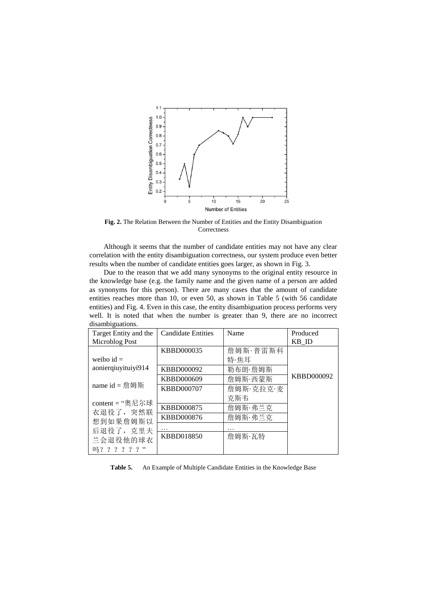

Fig. 2. The Relation Between the Number of Entities and the Entity Disambiguation **Correctness** 

Although it seems that the number of candidate entities may not have any clear correlation with the entity disambiguation correctness, our system produce even better results when the number of candidate entities goes larger, as shown in Fig. 3.

Due to the reason that we add many synonyms to the original entity resource in the knowledge base (e.g. the family name and the given name of a person are added as synonyms for this person). There are many cases that the amount of candidate entities reaches more than 10, or even 50, as shown in Table 5 (with 56 candidate entities) and Fig. 4. Even in this case, the entity disambiguation process performs very well. It is noted that when the number is greater than 9, there are no incorrect disambiguations.

| $\ldots$              |                           |           |            |  |
|-----------------------|---------------------------|-----------|------------|--|
| Target Entity and the | <b>Candidate Entities</b> | Name      | Produced   |  |
| Microblog Post        |                           |           | KB ID      |  |
|                       | KBBD000035                | 詹姆斯·普雷斯科  |            |  |
| weibo $id =$          |                           | 特 焦耳      |            |  |
| aonierqiuyituiyi914   | KBBD000092                | 勒布朗 詹姆斯   |            |  |
| name $id = $ 詹姆斯      | KBBD000609                | 詹姆斯 西蒙斯   | KBBD000092 |  |
|                       | KBBD000707                | 詹姆斯 克拉克 麦 |            |  |
| content = "奥尼尔球       |                           | 克斯韦       |            |  |
| 衣退役了, 突然联             | <b>KBBD000875</b>         | 詹姆斯 弗兰克   |            |  |
| 想到如果詹姆斯以              | KBBD000876                | 詹姆斯 弗兰克   |            |  |
| 后退役了, 克里夫             |                           |           |            |  |
| 兰会退役他的球衣              | KBBD018850                | 詹姆斯·瓦特    |            |  |
| 吗? ? ? ? ? ? "        |                           |           |            |  |

Table 5. An Example of Multiple Candidate Entities in the Knowledge Base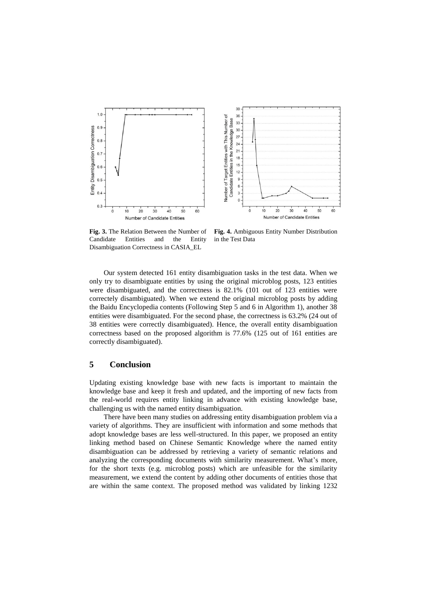

**Fig. 3.** The Relation Between the Number of Candidate Entities and the Entity Disambiguation Correctness in CASIA\_EL

**Fig. 4.** Ambiguous Entity Number Distribution in the Test Data

Our system detected 161 entity disambiguation tasks in the test data. When we only try to disambiguate entities by using the original microblog posts, 123 entities were disambiguated, and the correctness is 82.1% (101 out of 123 entities were correctely disambiguated). When we extend the original microblog posts by adding the Baidu Encyclopedia contents (Following Step 5 and 6 in Algorithm 1), another 38 entities were disambiguated. For the second phase, the correctness is 63.2% (24 out of 38 entities were correctly disambiguated). Hence, the overall entity disambiguation correctness based on the proposed algorithm is 77.6% (125 out of 161 entities are correctly disambiguated).

# **5 Conclusion**

Updating existing knowledge base with new facts is important to maintain the knowledge base and keep it fresh and updated, and the importing of new facts from the real-world requires entity linking in advance with existing knowledge base, challenging us with the named entity disambiguation.

There have been many studies on addressing entity disambiguation problem via a variety of algorithms. They are insufficient with information and some methods that adopt knowledge bases are less well-structured. In this paper, we proposed an entity linking method based on Chinese Semantic Knowledge where the named entity disambiguation can be addressed by retrieving a variety of semantic relations and analyzing the corresponding documents with similarity measurement. What's more, for the short texts (e.g. microblog posts) which are unfeasible for the similarity measurement, we extend the content by adding other documents of entities those that are within the same context. The proposed method was validated by linking 1232